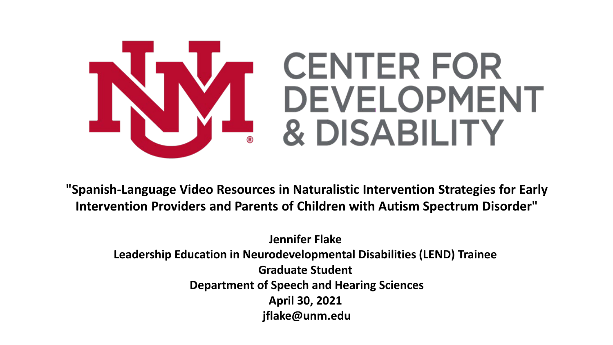

**"Spanish-Language Video Resources in Naturalistic Intervention Strategies for Early Intervention Providers and Parents of Children with Autism Spectrum Disorder"**

**Jennifer Flake Leadership Education in Neurodevelopmental Disabilities (LEND) Trainee Graduate Student Department of Speech and Hearing Sciences April 30, 2021 jflake@unm.edu**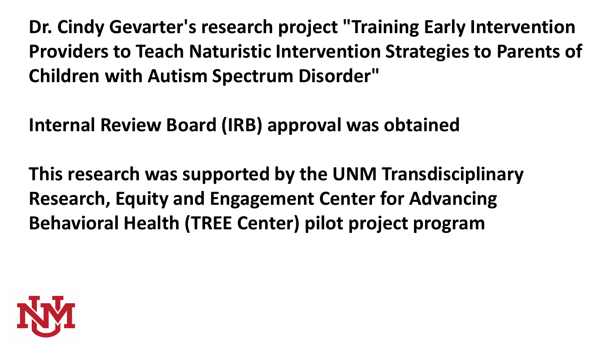**Dr. Cindy Gevarter's research project "Training Early Intervention Providers to Teach Naturistic Intervention Strategies to Parents of Children with Autism Spectrum Disorder"**

**Internal Review Board (IRB) approval was obtained**

**This research was supported by the UNM Transdisciplinary Research, Equity and Engagement Center for Advancing Behavioral Health (TREE Center) pilot project program**

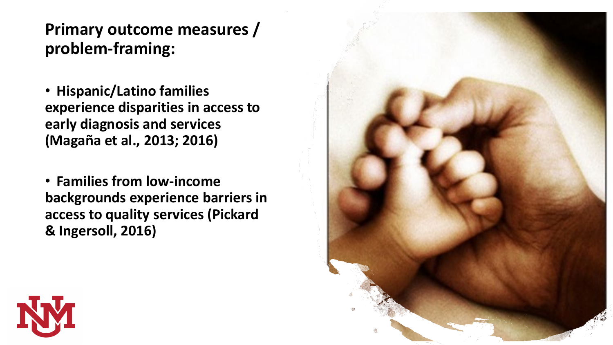## **Primary outcome measures / problem-framing:**

- **Hispanic/Latino families experience disparities in access to early diagnosis and services (Magaña et al., 2013; 2016)**
- **Families from low-income backgrounds experience barriers in access to quality services (Pickard & Ingersoll, 2016)**



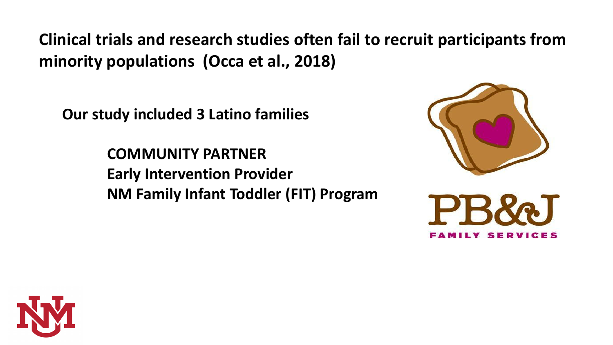**Clinical trials and research studies often fail to recruit participants from minority populations (Occa et al., 2018)**

**Our study included 3 Latino families**

**COMMUNITY PARTNER Early Intervention Provider NM Family Infant Toddler (FIT) Program**





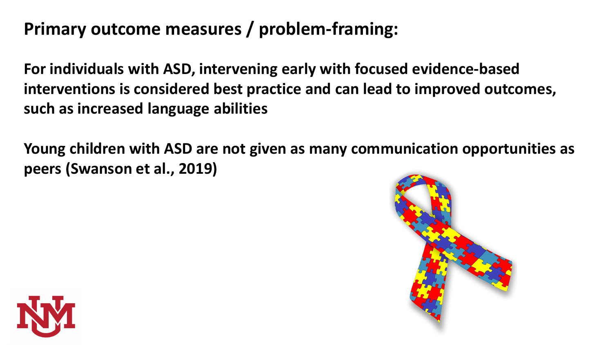## **Primary outcome measures / problem-framing:**

**For individuals with ASD, intervening early with focused evidence-based interventions is considered best practice and can lead to improved outcomes, such as increased language abilities**

**Young children with ASD are not given as many communication opportunities as peers (Swanson et al., 2019)**



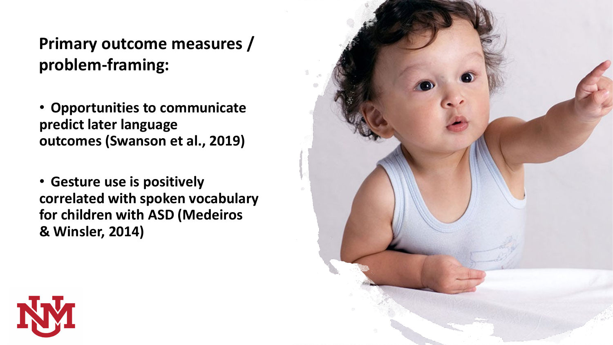## **Primary outcome measures / problem-framing:**

• **Opportunities to communicate predict later language outcomes (Swanson et al., 2019)**

• **Gesture use is positively correlated with spoken vocabulary for children with ASD (Medeiros & Winsler, 2014)**



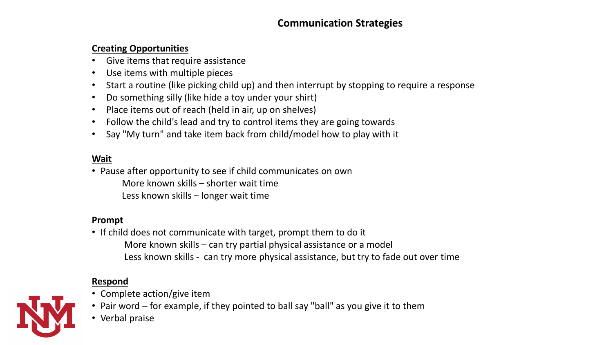#### **Communication Strategies**

#### **Creating Opportunities**

- Give items that require assistance
- Use items with multiple pieces
- Start a routine (like picking child up) and then interrupt by stopping to require a response
- Do something silly (like hide a toy under your shirt)
- Place items out of reach (held in air, up on shelves)
- Follow the child's lead and try to control items they are going towards
- Say "My turn" and take item back from child/model how to play with it

#### **Wait**

• Pause after opportunity to see if child communicates on own More known skills – shorter wait time Less known skills – longer wait time

#### **Prompt**

• If child does not communicate with target, prompt them to do it More known skills – can try partial physical assistance or a model Less known skills - can try more physical assistance, but try to fade out over time

#### **Respond**

- Complete action/give item
- Pair word for example, if they pointed to ball say "ball" as you give it to them
- Verbal praise

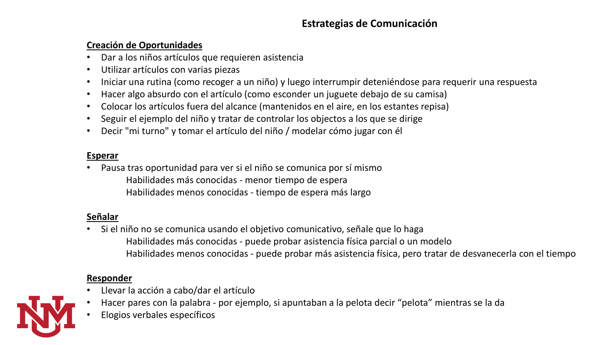#### **Estrategias de Comunicación**

#### **Creación de Oportunidades**

- Dar a los niños artículos que requieren asistencia
- Utilizar artículos con varias piezas
- Iniciar una rutina (como recoger a un niño) y luego interrumpir deteniéndose para requerir una respuesta
- Hacer algo absurdo con el artículo (como esconder un juguete debajo de su camisa)
- Colocar los artículos fuera del alcance (mantenidos en el aire, en los estantes repisa)
- Seguir el ejemplo del niño y tratar de controlar los objectos a los que se dirige
- Decir "mi turno" y tomar el artículo del niño / modelar cómo jugar con él

#### **Esperar**

• Pausa tras oportunidad para ver si el niño se comunica por sí mismo Habilidades más conocidas - menor tiempo de espera Habilidades menos conocidas - tiempo de espera más largo

#### **Señalar**

• Si el niño no se comunica usando el objetivo comunicativo, señale que lo haga Habilidades más conocidas - puede probar asistencia física parcial o un modelo Habilidades menos conocidas - puede probar más asistencia física, pero tratar de desvanecerla con el tiempo

#### **Responder**

- Llevar la acción a cabo/dar el artículo
- Hacer pares con la palabra por ejemplo, si apuntaban a la pelota decir "pelota" mientras se la da
	- Elogios verbales específicos

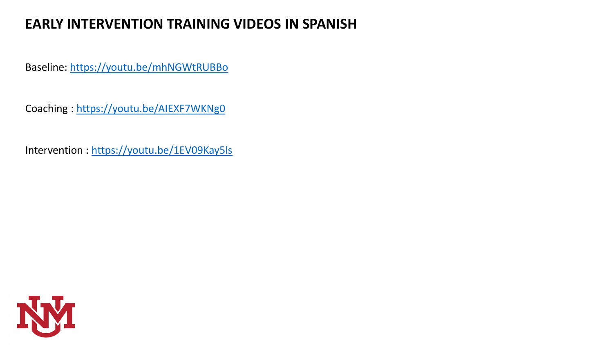## **EARLY INTERVENTION TRAINING VIDEOS IN SPANISH**

Baseline: <https://youtu.be/mhNGWtRUBBo>

Coaching : <https://youtu.be/AIEXF7WKNg0>

Intervention : <https://youtu.be/1EV09Kay5ls>

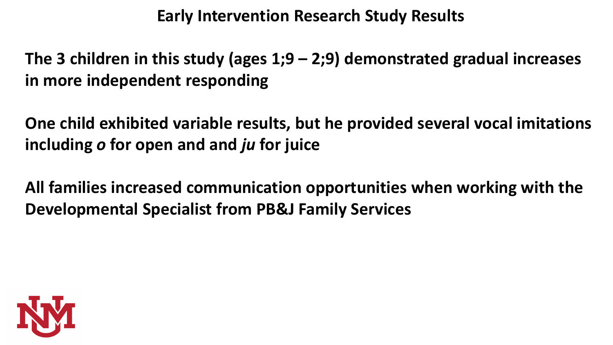## **Early Intervention Research Study Results**

**The 3 children in this study (ages 1;9 – 2;9) demonstrated gradual increases in more independent responding**

**One child exhibited variable results, but he provided several vocal imitations including** *o* **for open and and** *ju* **for juice**

**All families increased communication opportunities when working with the Developmental Specialist from PB&J Family Services**

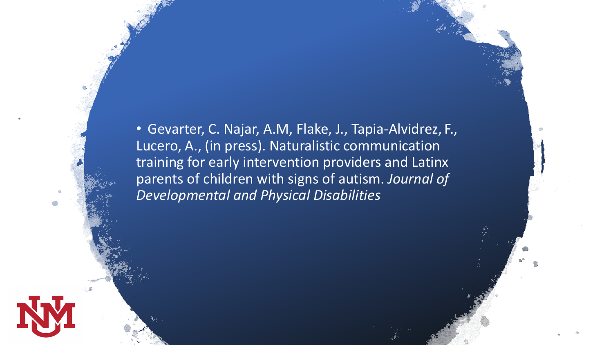• Gevarter, C. Najar, A.M, Flake, J., Tapia-Alvidrez, F., Lucero, A., (in press). Naturalistic communication training for early intervention providers and Latinx parents of children with signs of autism. *Journal of Developmental and Physical Disabilities*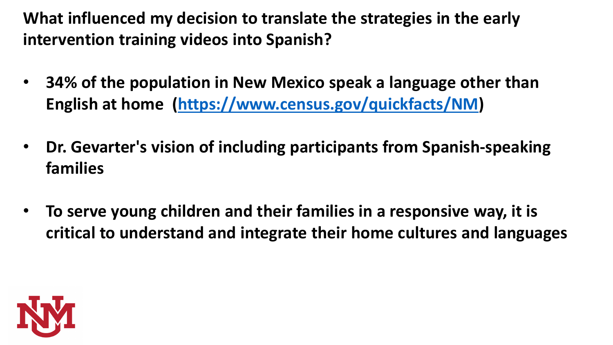**What influenced my decision to translate the strategies in the early intervention training videos into Spanish?**

- **34% of the population in New Mexico speak a language other than English at home [\(https://www.census.gov/quickfacts/NM\)](https://www.census.gov/quickfacts/NM)**
- **Dr. Gevarter's vision of including participants from Spanish-speaking families**
- **To serve young children and their families in a responsive way, it is critical to understand and integrate their home cultures and languages**

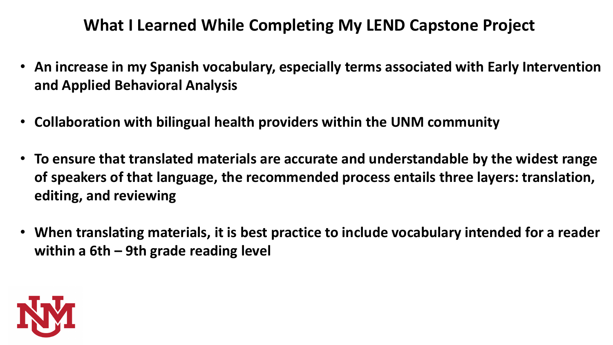## **What I Learned While Completing My LEND Capstone Project**

- **An increase in my Spanish vocabulary, especially terms associated with Early Intervention and Applied Behavioral Analysis**
- **Collaboration with bilingual health providers within the UNM community**
- **To ensure that translated materials are accurate and understandable by the widest range of speakers of that language, the recommended process entails three layers: translation, editing, and reviewing**
- **When translating materials, it is best practice to include vocabulary intended for a reader within a 6th – 9th grade reading level**

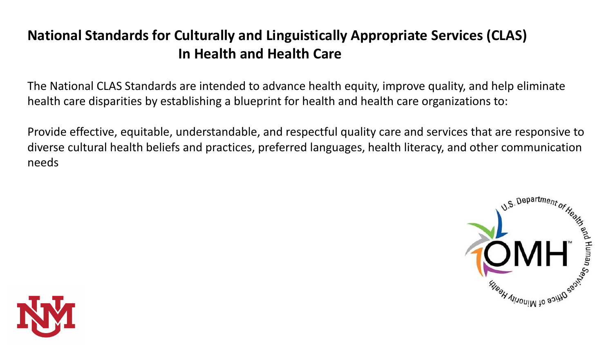## **National Standards for Culturally and Linguistically Appropriate Services (CLAS) In Health and Health Care**

The National CLAS Standards are intended to advance health equity, improve quality, and help eliminate health care disparities by establishing a blueprint for health and health care organizations to:

Provide effective, equitable, understandable, and respectful quality care and services that are responsive to diverse cultural health beliefs and practices, preferred languages, health literacy, and other communication needs



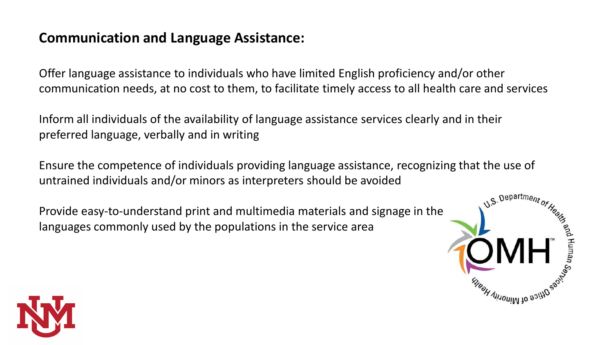## **Communication and Language Assistance:**

Offer language assistance to individuals who have limited English proficiency and/or other communication needs, at no cost to them, to facilitate timely access to all health care and services

Inform all individuals of the availability of language assistance services clearly and in their preferred language, verbally and in writing

Ensure the competence of individuals providing language assistance, recognizing that the use of untrained individuals and/or minors as interpreters should be avoided

Provide easy-to-understand print and multimedia materials and signage in the languages commonly used by the populations in the service area



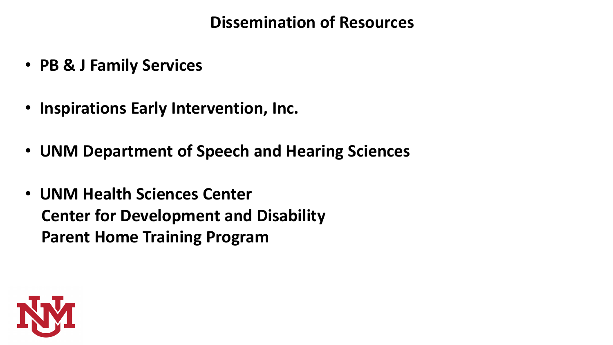## **Dissemination of Resources**

- **PB & J Family Services**
- **Inspirations Early Intervention, Inc.**
- **UNM Department of Speech and Hearing Sciences**
- **UNM Health Sciences Center Center for Development and Disability Parent Home Training Program**

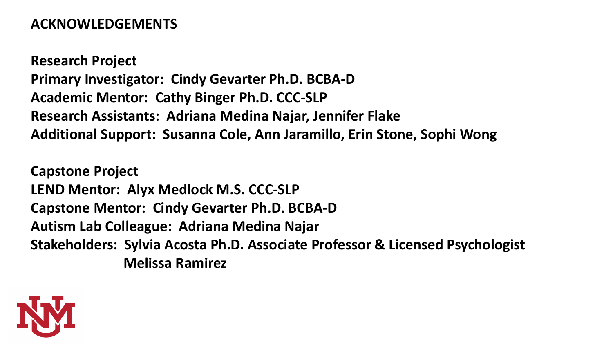## **ACKNOWLEDGEMENTS**

**Research Project Primary Investigator: Cindy Gevarter Ph.D. BCBA-D Academic Mentor: Cathy Binger Ph.D. CCC-SLP Research Assistants: Adriana Medina Najar, Jennifer Flake Additional Support: Susanna Cole, Ann Jaramillo, Erin Stone, Sophi Wong**

**Capstone Project LEND Mentor: Alyx Medlock M.S. CCC-SLP Capstone Mentor: Cindy Gevarter Ph.D. BCBA-D Autism Lab Colleague: Adriana Medina Najar Stakeholders: Sylvia Acosta Ph.D. Associate Professor & Licensed Psychologist Melissa Ramirez**

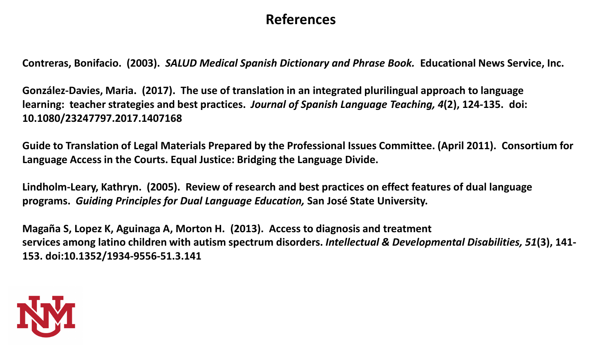### **References**

**Contreras, Bonifacio. (2003).** *SALUD Medical Spanish Dictionary and Phrase Book.* **Educational News Service, Inc.**

**González-Davies, Maria. (2017). The use of translation in an integrated plurilingual approach to language learning: teacher strategies and best practices.** *Journal of Spanish Language Teaching, 4***(2), 124-135. doi: 10.1080/23247797.2017.1407168**

**Guide to Translation of Legal Materials Prepared by the Professional Issues Committee. (April 2011). Consortium for Language Access in the Courts. Equal Justice: Bridging the Language Divide.**

**Lindholm-Leary, Kathryn. (2005). Review of research and best practices on effect features of dual language programs.** *Guiding Principles for Dual Language Education,* **San José State University.**

**Magaña S, Lopez K, Aguinaga A, Morton H. (2013). Access to diagnosis and treatment services among latino children with autism spectrum disorders.** *Intellectual & Developmental Disabilities, 51***(3), 141- 153. doi:10.1352/1934-9556-51.3.141**

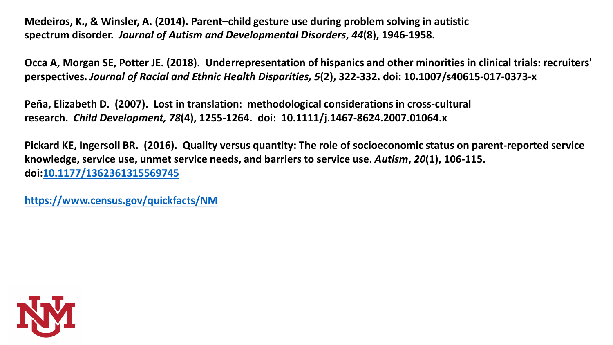**Medeiros, K., & Winsler, A. (2014). Parent–child gesture use during problem solving in autistic spectrum disorder.** *Journal of Autism and Developmental Disorders***,** *44***(8), 1946-1958.**

**Occa A, Morgan SE, Potter JE. (2018). Underrepresentation of hispanics and other minorities in clinical trials: recruiters' perspectives.** *Journal of Racial and Ethnic Health Disparities, 5***(2), 322-332. doi: 10.1007/s40615-017-0373-x**

**Peña, Elizabeth D. (2007). Lost in translation: methodological considerations in cross-cultural research.** *Child Development, 78***(4), 1255-1264. doi: 10.1111/j.1467-8624.2007.01064.x**

**Pickard KE, Ingersoll BR. (2016). Quality versus quantity: The role of socioeconomic status on parent-reported service knowledge, service use, unmet service needs, and barriers to service use.** *Autism***,** *20***(1), 106-115. doi[:10.1177/1362361315569745](https://doi.org/10.1177/1362361315569745)**

**<https://www.census.gov/quickfacts/NM>**